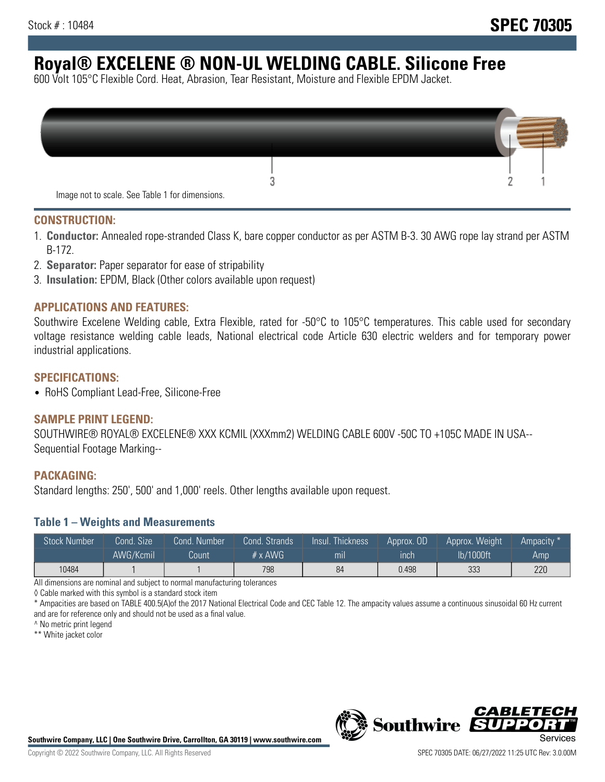# **Royal® EXCELENE ® NON-UL WELDING CABLE. Silicone Free**

600 Volt 105°C Flexible Cord. Heat, Abrasion, Tear Resistant, Moisture and Flexible EPDM Jacket.

| Image not to scale. See Table 1 for dimensions. |  |
|-------------------------------------------------|--|

#### **CONSTRUCTION:**

- 1. **Conductor:** Annealed rope-stranded Class K, bare copper conductor as per ASTM B-3. 30 AWG rope lay strand per ASTM B-172.
- 2. **Separator:** Paper separator for ease of stripability
- 3. **Insulation:** EPDM, Black (Other colors available upon request)

#### **APPLICATIONS AND FEATURES:**

Southwire Excelene Welding cable, Extra Flexible, rated for -50°C to 105°C temperatures. This cable used for secondary voltage resistance welding cable leads, National electrical code Article 630 electric welders and for temporary power industrial applications.

#### **SPECIFICATIONS:**

• RoHS Compliant Lead-Free, Silicone-Free

#### **SAMPLE PRINT LEGEND:**

SOUTHWIRE® ROYAL® EXCELENE® XXX KCMIL (XXXmm2) WELDING CABLE 600V -50C TO +105C MADE IN USA-- Sequential Footage Marking--

#### **PACKAGING:**

Standard lengths: 250', 500' and 1,000' reels. Other lengths available upon request.

#### **Table 1 – Weights and Measurements**

| <b>Stock Number</b> | Cond. Size' | Cond. Number | Cond. Strands   | Insul. Thickness | Approx. OD | Approx. Weight | Ampacity * |
|---------------------|-------------|--------------|-----------------|------------------|------------|----------------|------------|
|                     | AWG/Kcmil   | Count        | $# \times$ AWG. | m <sub>l</sub>   | inch       | lb/1000ft      | Amp        |
| 10484               |             |              | 798             | 84               | 0.498      | 333            | 220        |

All dimensions are nominal and subject to normal manufacturing tolerances

◊ Cable marked with this symbol is a standard stock item

\* Ampacities are based on TABLE 400.5(A)of the 2017 National Electrical Code and CEC Table 12. The ampacity values assume a continuous sinusoidal 60 Hz current and are for reference only and should not be used as a final value.

^ No metric print legend

\*\* White jacket color



*CABLE*